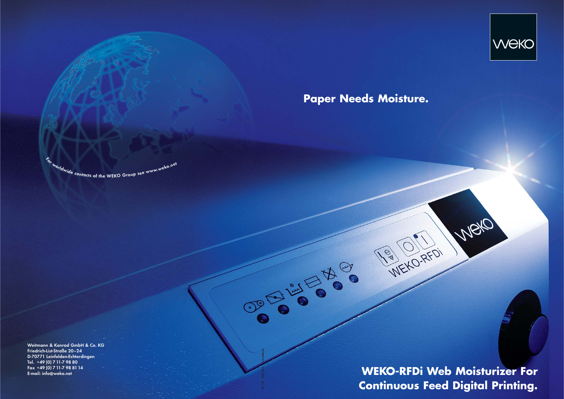**WEKO-RFDi Web Moisturizer For Continuous Feed Digital Printing.**

WEKO-RFDI

Well



## **Paper Needs Moisture.**

Weitmann & Konrad GmbH & Co. KG Friedrich-List-Straße 20–24 D-70771 Leinfelden-Echterdingen Tel. +49 (0) 7 11-7 98 80 Fax +49 (0) 7 11-7 98 81 14 E-mail: info@weko.net

 $\epsilon_{\rm w}$ <sup>torldwide</sup> contacts of the WEKO Group see www.weko.net

29 751 056\_222 www.zetb.de

**CONSISTERS**